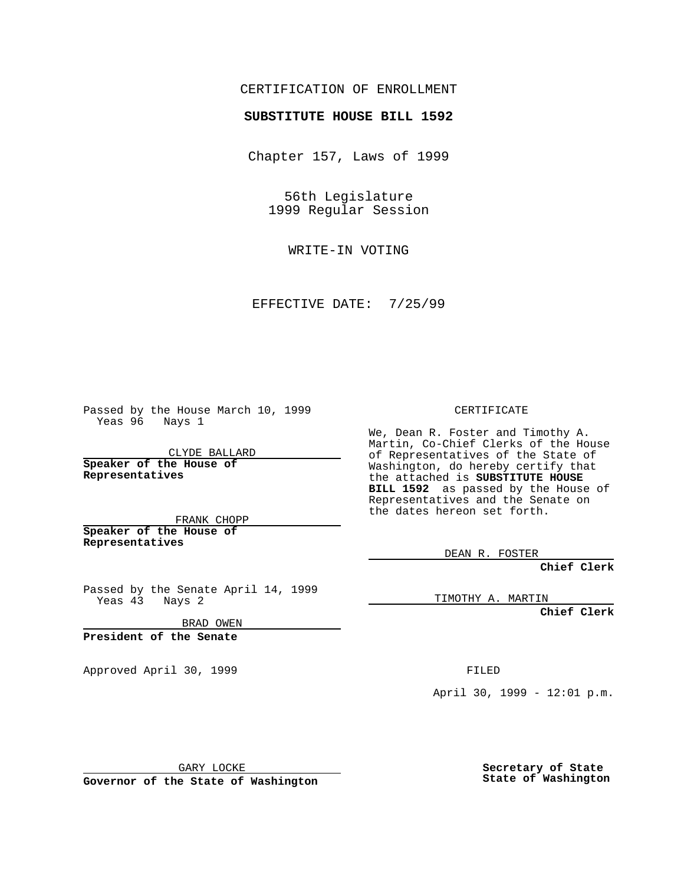### CERTIFICATION OF ENROLLMENT

# **SUBSTITUTE HOUSE BILL 1592**

Chapter 157, Laws of 1999

56th Legislature 1999 Regular Session

WRITE-IN VOTING

EFFECTIVE DATE: 7/25/99

Passed by the House March 10, 1999 Yeas 96 Nays 1

CLYDE BALLARD **Speaker of the House of Representatives**

FRANK CHOPP **Speaker of the House of Representatives**

Passed by the Senate April 14, 1999 Yeas 43 Nays 2

BRAD OWEN

**President of the Senate**

Approved April 30, 1999 **FILED** 

#### CERTIFICATE

We, Dean R. Foster and Timothy A. Martin, Co-Chief Clerks of the House of Representatives of the State of Washington, do hereby certify that the attached is **SUBSTITUTE HOUSE BILL 1592** as passed by the House of Representatives and the Senate on the dates hereon set forth.

DEAN R. FOSTER

**Chief Clerk**

TIMOTHY A. MARTIN

**Chief Clerk**

April 30, 1999 - 12:01 p.m.

GARY LOCKE

**Governor of the State of Washington**

**Secretary of State State of Washington**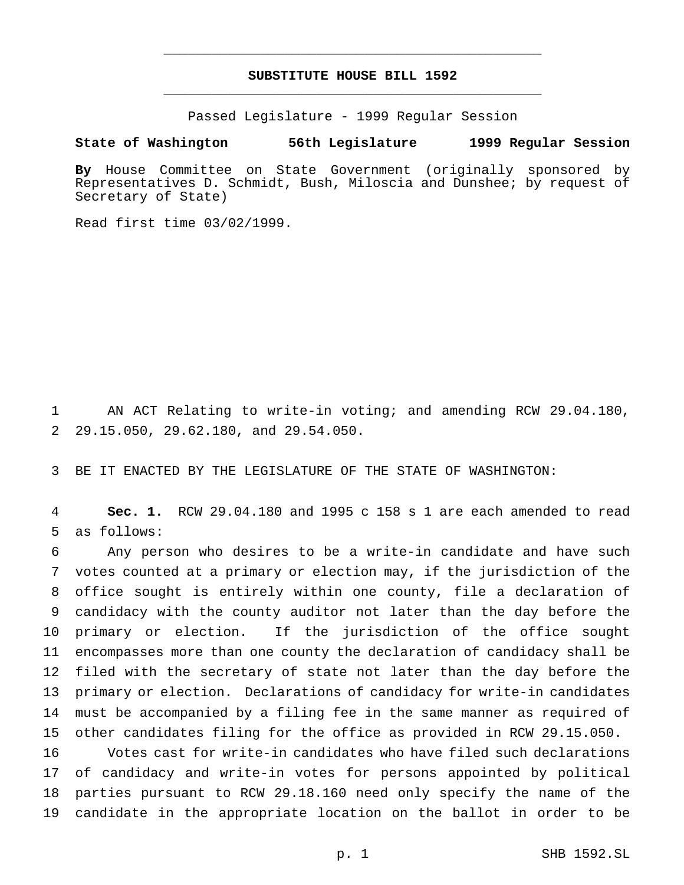## **SUBSTITUTE HOUSE BILL 1592** \_\_\_\_\_\_\_\_\_\_\_\_\_\_\_\_\_\_\_\_\_\_\_\_\_\_\_\_\_\_\_\_\_\_\_\_\_\_\_\_\_\_\_\_\_\_\_

\_\_\_\_\_\_\_\_\_\_\_\_\_\_\_\_\_\_\_\_\_\_\_\_\_\_\_\_\_\_\_\_\_\_\_\_\_\_\_\_\_\_\_\_\_\_\_

Passed Legislature - 1999 Regular Session

#### **State of Washington 56th Legislature 1999 Regular Session**

**By** House Committee on State Government (originally sponsored by Representatives D. Schmidt, Bush, Miloscia and Dunshee; by request of Secretary of State)

Read first time 03/02/1999.

 AN ACT Relating to write-in voting; and amending RCW 29.04.180, 29.15.050, 29.62.180, and 29.54.050.

BE IT ENACTED BY THE LEGISLATURE OF THE STATE OF WASHINGTON:

 **Sec. 1.** RCW 29.04.180 and 1995 c 158 s 1 are each amended to read as follows:

 Any person who desires to be a write-in candidate and have such votes counted at a primary or election may, if the jurisdiction of the office sought is entirely within one county, file a declaration of candidacy with the county auditor not later than the day before the primary or election. If the jurisdiction of the office sought encompasses more than one county the declaration of candidacy shall be filed with the secretary of state not later than the day before the primary or election. Declarations of candidacy for write-in candidates must be accompanied by a filing fee in the same manner as required of other candidates filing for the office as provided in RCW 29.15.050.

 Votes cast for write-in candidates who have filed such declarations of candidacy and write-in votes for persons appointed by political parties pursuant to RCW 29.18.160 need only specify the name of the candidate in the appropriate location on the ballot in order to be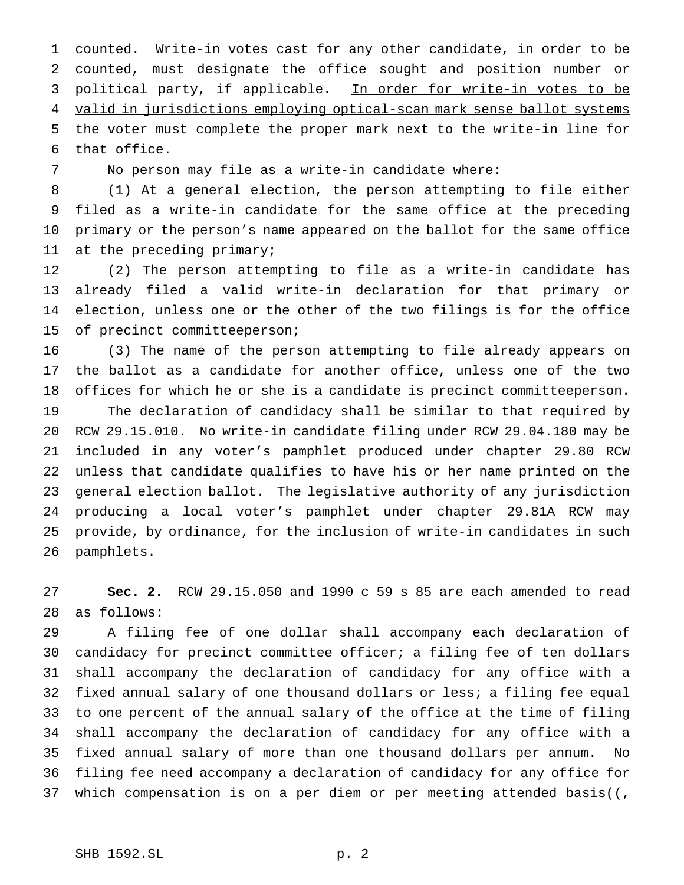counted. Write-in votes cast for any other candidate, in order to be counted, must designate the office sought and position number or 3 political party, if applicable. In order for write-in votes to be valid in jurisdictions employing optical-scan mark sense ballot systems the voter must complete the proper mark next to the write-in line for that office.

No person may file as a write-in candidate where:

 (1) At a general election, the person attempting to file either filed as a write-in candidate for the same office at the preceding primary or the person's name appeared on the ballot for the same office at the preceding primary;

 (2) The person attempting to file as a write-in candidate has already filed a valid write-in declaration for that primary or election, unless one or the other of the two filings is for the office of precinct committeeperson;

 (3) The name of the person attempting to file already appears on the ballot as a candidate for another office, unless one of the two offices for which he or she is a candidate is precinct committeeperson. The declaration of candidacy shall be similar to that required by RCW 29.15.010. No write-in candidate filing under RCW 29.04.180 may be included in any voter's pamphlet produced under chapter 29.80 RCW unless that candidate qualifies to have his or her name printed on the general election ballot. The legislative authority of any jurisdiction producing a local voter's pamphlet under chapter 29.81A RCW may provide, by ordinance, for the inclusion of write-in candidates in such pamphlets.

 **Sec. 2.** RCW 29.15.050 and 1990 c 59 s 85 are each amended to read as follows:

 A filing fee of one dollar shall accompany each declaration of candidacy for precinct committee officer; a filing fee of ten dollars shall accompany the declaration of candidacy for any office with a fixed annual salary of one thousand dollars or less; a filing fee equal to one percent of the annual salary of the office at the time of filing shall accompany the declaration of candidacy for any office with a fixed annual salary of more than one thousand dollars per annum. No filing fee need accompany a declaration of candidacy for any office for 37 which compensation is on a per diem or per meeting attended basis( $(\tau$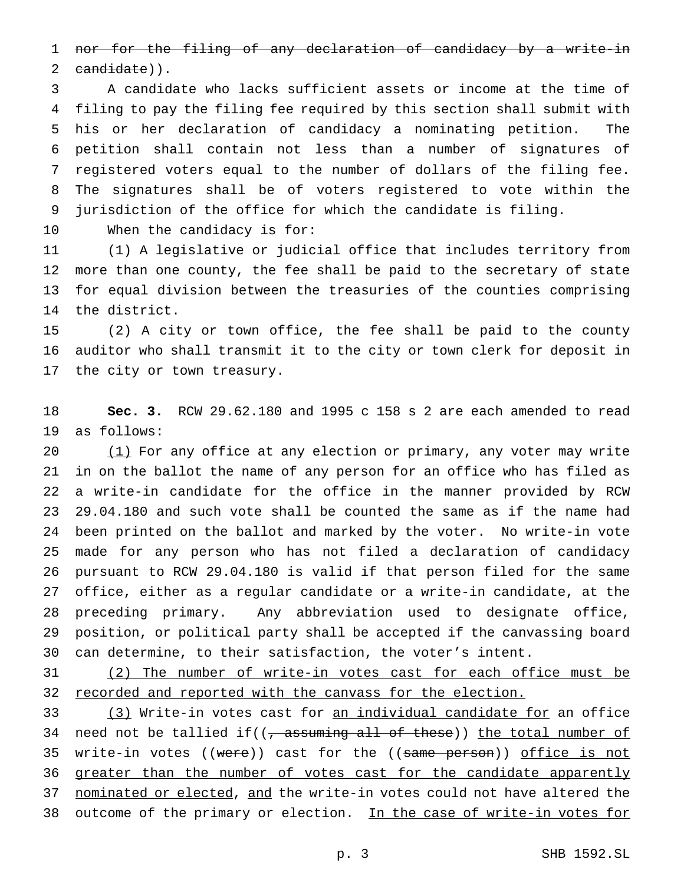nor for the filing of any declaration of candidacy by a write-in candidate)).

 A candidate who lacks sufficient assets or income at the time of filing to pay the filing fee required by this section shall submit with his or her declaration of candidacy a nominating petition. The petition shall contain not less than a number of signatures of registered voters equal to the number of dollars of the filing fee. The signatures shall be of voters registered to vote within the jurisdiction of the office for which the candidate is filing.

When the candidacy is for:

 (1) A legislative or judicial office that includes territory from more than one county, the fee shall be paid to the secretary of state for equal division between the treasuries of the counties comprising the district.

 (2) A city or town office, the fee shall be paid to the county auditor who shall transmit it to the city or town clerk for deposit in the city or town treasury.

 **Sec. 3.** RCW 29.62.180 and 1995 c 158 s 2 are each amended to read as follows:

20 (1) For any office at any election or primary, any voter may write in on the ballot the name of any person for an office who has filed as a write-in candidate for the office in the manner provided by RCW 29.04.180 and such vote shall be counted the same as if the name had been printed on the ballot and marked by the voter. No write-in vote made for any person who has not filed a declaration of candidacy pursuant to RCW 29.04.180 is valid if that person filed for the same office, either as a regular candidate or a write-in candidate, at the preceding primary. Any abbreviation used to designate office, position, or political party shall be accepted if the canvassing board can determine, to their satisfaction, the voter's intent.

 (2) The number of write-in votes cast for each office must be recorded and reported with the canvass for the election.

33 (3) Write-in votes cast for an individual candidate for an office 34 need not be tallied if( $(-$  assuming all of these)) the total number of 35 write-in votes ((were)) cast for the ((same person)) office is not 36 greater than the number of votes cast for the candidate apparently nominated or elected, and the write-in votes could not have altered the 38 outcome of the primary or election. In the case of write-in votes for